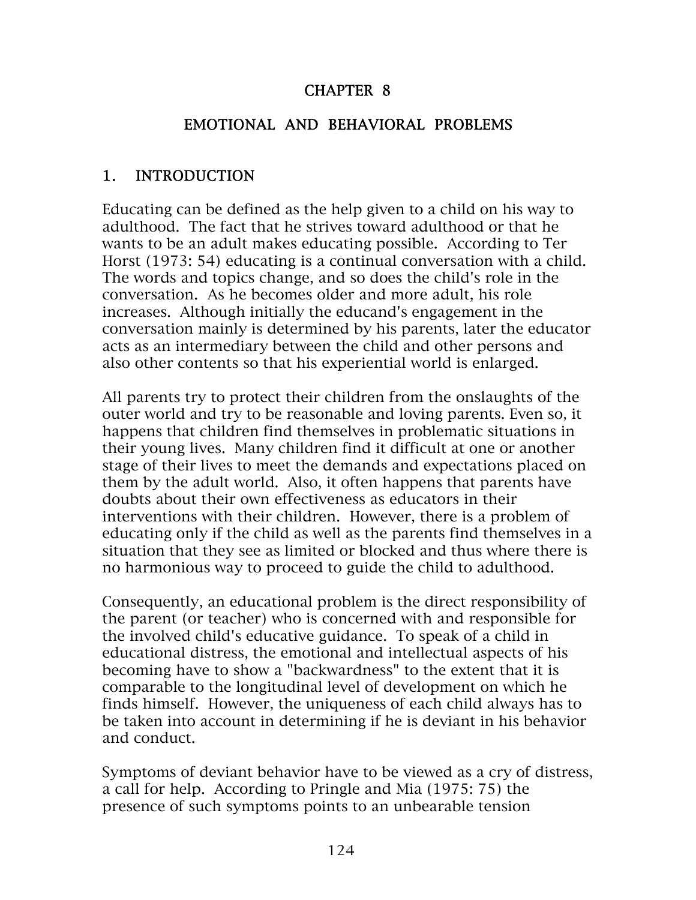#### CHAPTER 8

#### EMOTIONAL AND BEHAVIORAL PROBLEMS

#### 1. INTRODUCTION

Educating can be defined as the help given to a child on his way to adulthood. The fact that he strives toward adulthood or that he wants to be an adult makes educating possible. According to Ter Horst (1973: 54) educating is a continual conversation with a child. The words and topics change, and so does the child's role in the conversation. As he becomes older and more adult, his role increases. Although initially the educand's engagement in the conversation mainly is determined by his parents, later the educator acts as an intermediary between the child and other persons and also other contents so that his experiential world is enlarged.

All parents try to protect their children from the onslaughts of the outer world and try to be reasonable and loving parents. Even so, it happens that children find themselves in problematic situations in their young lives. Many children find it difficult at one or another stage of their lives to meet the demands and expectations placed on them by the adult world. Also, it often happens that parents have doubts about their own effectiveness as educators in their interventions with their children. However, there is a problem of educating only if the child as well as the parents find themselves in a situation that they see as limited or blocked and thus where there is no harmonious way to proceed to guide the child to adulthood.

Consequently, an educational problem is the direct responsibility of the parent (or teacher) who is concerned with and responsible for the involved child's educative guidance. To speak of a child in educational distress, the emotional and intellectual aspects of his becoming have to show a "backwardness" to the extent that it is comparable to the longitudinal level of development on which he finds himself. However, the uniqueness of each child always has to be taken into account in determining if he is deviant in his behavior and conduct.

Symptoms of deviant behavior have to be viewed as a cry of distress, a call for help. According to Pringle and Mia (1975: 75) the presence of such symptoms points to an unbearable tension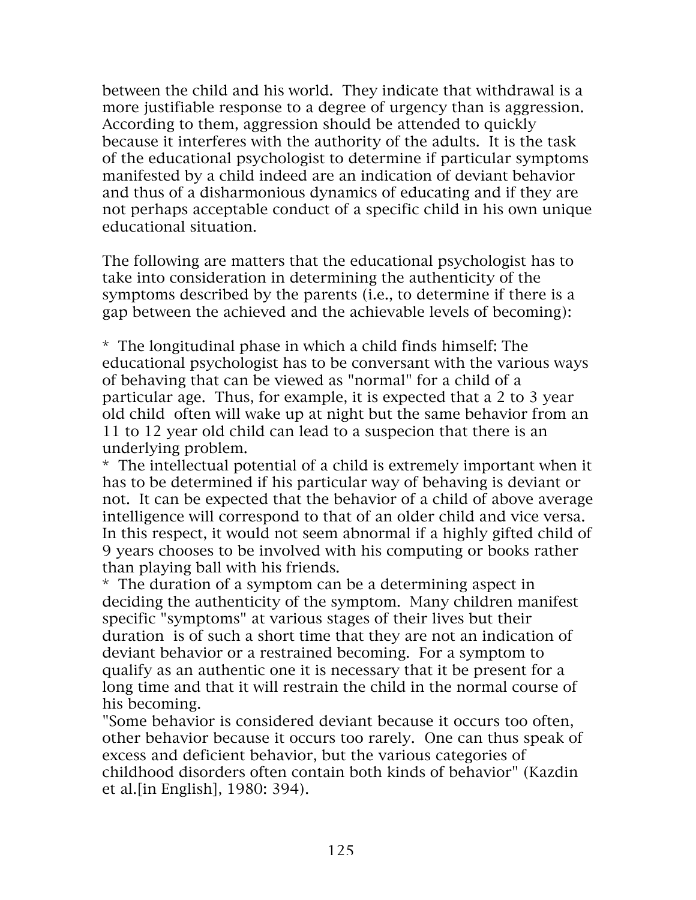between the child and his world. They indicate that withdrawal is a more justifiable response to a degree of urgency than is aggression. According to them, aggression should be attended to quickly because it interferes with the authority of the adults. It is the task of the educational psychologist to determine if particular symptoms manifested by a child indeed are an indication of deviant behavior and thus of a disharmonious dynamics of educating and if they are not perhaps acceptable conduct of a specific child in his own unique educational situation.

The following are matters that the educational psychologist has to take into consideration in determining the authenticity of the symptoms described by the parents (i.e., to determine if there is a gap between the achieved and the achievable levels of becoming):

\* The longitudinal phase in which a child finds himself: The educational psychologist has to be conversant with the various ways of behaving that can be viewed as "normal" for a child of a particular age. Thus, for example, it is expected that a 2 to 3 year old child often will wake up at night but the same behavior from an 11 to 12 year old child can lead to a suspecion that there is an underlying problem.

\* The intellectual potential of a child is extremely important when it has to be determined if his particular way of behaving is deviant or not. It can be expected that the behavior of a child of above average intelligence will correspond to that of an older child and vice versa. In this respect, it would not seem abnormal if a highly gifted child of 9 years chooses to be involved with his computing or books rather than playing ball with his friends.

\* The duration of a symptom can be a determining aspect in deciding the authenticity of the symptom. Many children manifest specific "symptoms" at various stages of their lives but their duration is of such a short time that they are not an indication of deviant behavior or a restrained becoming. For a symptom to qualify as an authentic one it is necessary that it be present for a long time and that it will restrain the child in the normal course of his becoming.

"Some behavior is considered deviant because it occurs too often, other behavior because it occurs too rarely. One can thus speak of excess and deficient behavior, but the various categories of childhood disorders often contain both kinds of behavior" (Kazdin et al.[in English], 1980: 394).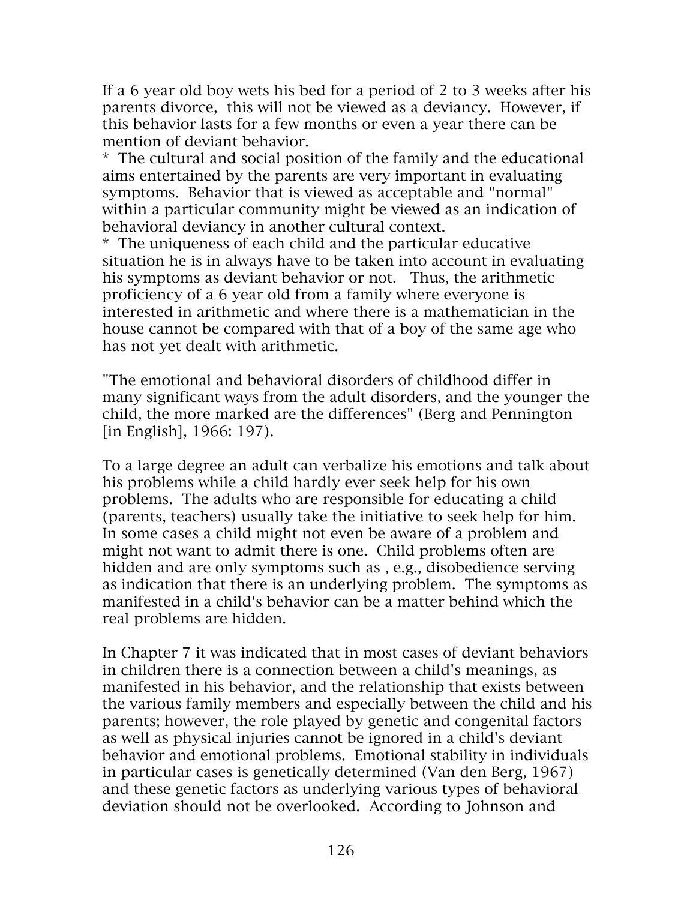If a 6 year old boy wets his bed for a period of 2 to 3 weeks after his parents divorce, this will not be viewed as a deviancy. However, if this behavior lasts for a few months or even a year there can be mention of deviant behavior.

\* The cultural and social position of the family and the educational aims entertained by the parents are very important in evaluating symptoms. Behavior that is viewed as acceptable and "normal" within a particular community might be viewed as an indication of behavioral deviancy in another cultural context.

\* The uniqueness of each child and the particular educative situation he is in always have to be taken into account in evaluating his symptoms as deviant behavior or not. Thus, the arithmetic proficiency of a 6 year old from a family where everyone is interested in arithmetic and where there is a mathematician in the house cannot be compared with that of a boy of the same age who has not yet dealt with arithmetic.

"The emotional and behavioral disorders of childhood differ in many significant ways from the adult disorders, and the younger the child, the more marked are the differences" (Berg and Pennington [in English], 1966: 197).

To a large degree an adult can verbalize his emotions and talk about his problems while a child hardly ever seek help for his own problems. The adults who are responsible for educating a child (parents, teachers) usually take the initiative to seek help for him. In some cases a child might not even be aware of a problem and might not want to admit there is one. Child problems often are hidden and are only symptoms such as , e.g., disobedience serving as indication that there is an underlying problem. The symptoms as manifested in a child's behavior can be a matter behind which the real problems are hidden.

In Chapter 7 it was indicated that in most cases of deviant behaviors in children there is a connection between a child's meanings, as manifested in his behavior, and the relationship that exists between the various family members and especially between the child and his parents; however, the role played by genetic and congenital factors as well as physical injuries cannot be ignored in a child's deviant behavior and emotional problems. Emotional stability in individuals in particular cases is genetically determined (Van den Berg, 1967) and these genetic factors as underlying various types of behavioral deviation should not be overlooked. According to Johnson and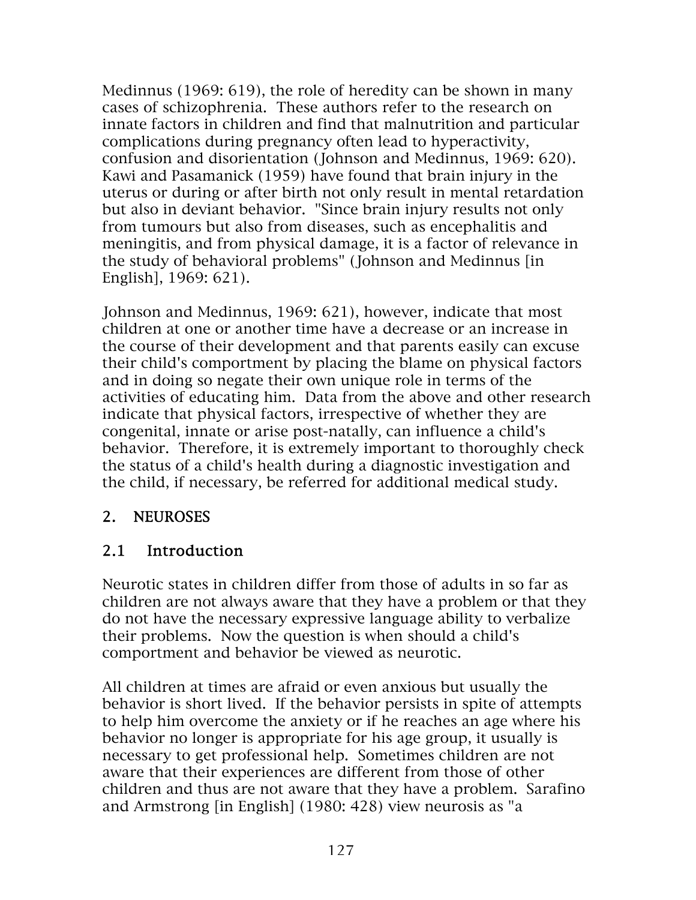Medinnus (1969: 619), the role of heredity can be shown in many cases of schizophrenia. These authors refer to the research on innate factors in children and find that malnutrition and particular complications during pregnancy often lead to hyperactivity, confusion and disorientation (Johnson and Medinnus, 1969: 620). Kawi and Pasamanick (1959) have found that brain injury in the uterus or during or after birth not only result in mental retardation but also in deviant behavior. "Since brain injury results not only from tumours but also from diseases, such as encephalitis and meningitis, and from physical damage, it is a factor of relevance in the study of behavioral problems" (Johnson and Medinnus [in English], 1969: 621).

Johnson and Medinnus, 1969: 621), however, indicate that most children at one or another time have a decrease or an increase in the course of their development and that parents easily can excuse their child's comportment by placing the blame on physical factors and in doing so negate their own unique role in terms of the activities of educating him. Data from the above and other research indicate that physical factors, irrespective of whether they are congenital, innate or arise post-natally, can influence a child's behavior. Therefore, it is extremely important to thoroughly check the status of a child's health during a diagnostic investigation and the child, if necessary, be referred for additional medical study.

#### 2. NEUROSES

#### 2.1 Introduction

Neurotic states in children differ from those of adults in so far as children are not always aware that they have a problem or that they do not have the necessary expressive language ability to verbalize their problems. Now the question is when should a child's comportment and behavior be viewed as neurotic.

All children at times are afraid or even anxious but usually the behavior is short lived. If the behavior persists in spite of attempts to help him overcome the anxiety or if he reaches an age where his behavior no longer is appropriate for his age group, it usually is necessary to get professional help. Sometimes children are not aware that their experiences are different from those of other children and thus are not aware that they have a problem. Sarafino and Armstrong [in English] (1980: 428) view neurosis as "a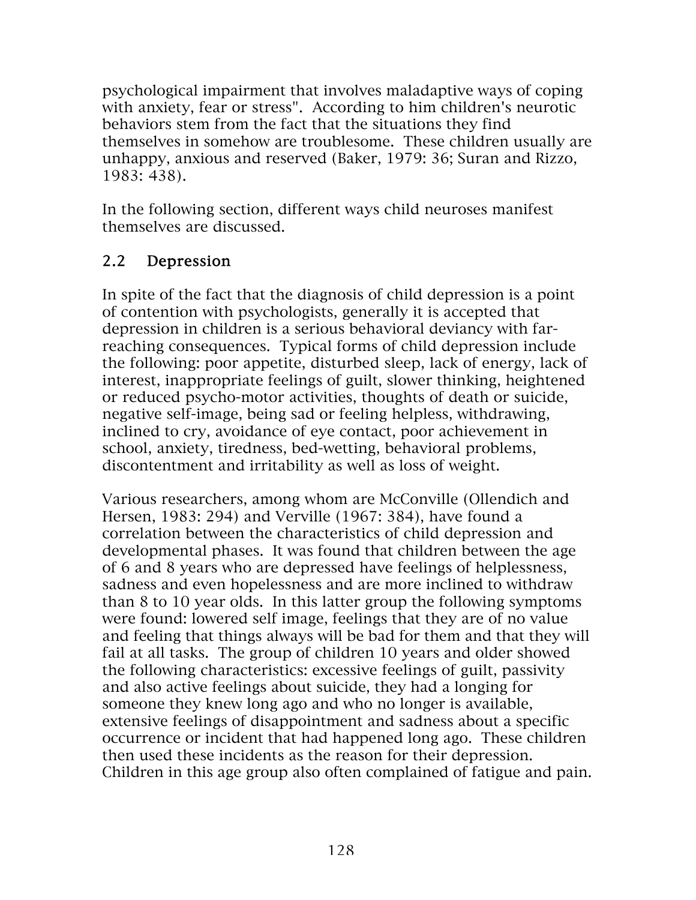psychological impairment that involves maladaptive ways of coping with anxiety, fear or stress". According to him children's neurotic behaviors stem from the fact that the situations they find themselves in somehow are troublesome. These children usually are unhappy, anxious and reserved (Baker, 1979: 36; Suran and Rizzo, 1983: 438).

In the following section, different ways child neuroses manifest themselves are discussed.

### 2.2 Depression

In spite of the fact that the diagnosis of child depression is a point of contention with psychologists, generally it is accepted that depression in children is a serious behavioral deviancy with farreaching consequences. Typical forms of child depression include the following: poor appetite, disturbed sleep, lack of energy, lack of interest, inappropriate feelings of guilt, slower thinking, heightened or reduced psycho-motor activities, thoughts of death or suicide, negative self-image, being sad or feeling helpless, withdrawing, inclined to cry, avoidance of eye contact, poor achievement in school, anxiety, tiredness, bed-wetting, behavioral problems, discontentment and irritability as well as loss of weight.

Various researchers, among whom are McConville (Ollendich and Hersen, 1983: 294) and Verville (1967: 384), have found a correlation between the characteristics of child depression and developmental phases. It was found that children between the age of 6 and 8 years who are depressed have feelings of helplessness, sadness and even hopelessness and are more inclined to withdraw than 8 to 10 year olds. In this latter group the following symptoms were found: lowered self image, feelings that they are of no value and feeling that things always will be bad for them and that they will fail at all tasks. The group of children 10 years and older showed the following characteristics: excessive feelings of guilt, passivity and also active feelings about suicide, they had a longing for someone they knew long ago and who no longer is available, extensive feelings of disappointment and sadness about a specific occurrence or incident that had happened long ago. These children then used these incidents as the reason for their depression. Children in this age group also often complained of fatigue and pain.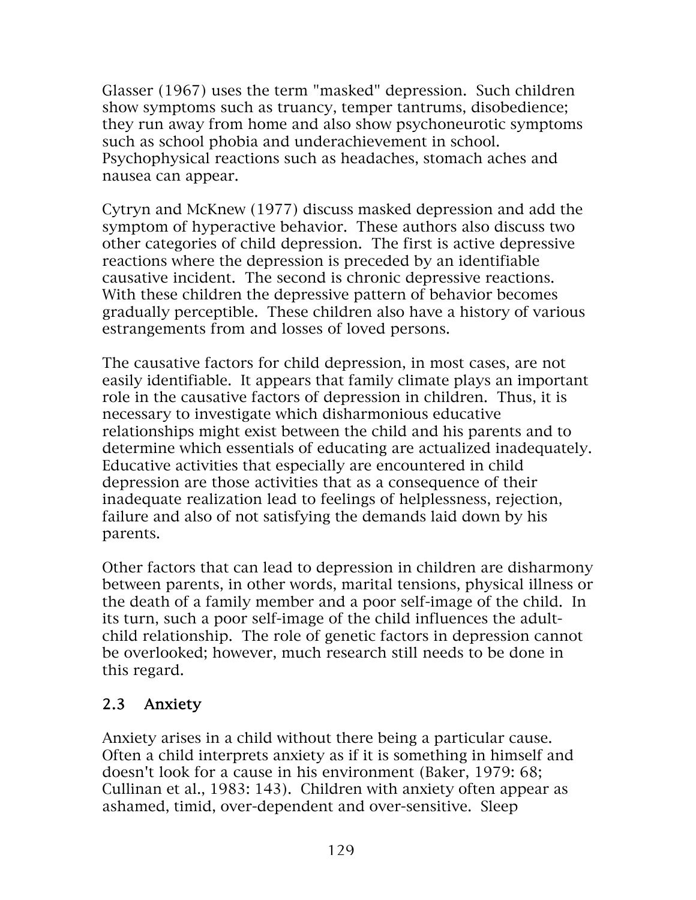Glasser (1967) uses the term "masked" depression. Such children show symptoms such as truancy, temper tantrums, disobedience; they run away from home and also show psychoneurotic symptoms such as school phobia and underachievement in school. Psychophysical reactions such as headaches, stomach aches and nausea can appear.

Cytryn and McKnew (1977) discuss masked depression and add the symptom of hyperactive behavior. These authors also discuss two other categories of child depression. The first is active depressive reactions where the depression is preceded by an identifiable causative incident. The second is chronic depressive reactions. With these children the depressive pattern of behavior becomes gradually perceptible. These children also have a history of various estrangements from and losses of loved persons.

The causative factors for child depression, in most cases, are not easily identifiable. It appears that family climate plays an important role in the causative factors of depression in children. Thus, it is necessary to investigate which disharmonious educative relationships might exist between the child and his parents and to determine which essentials of educating are actualized inadequately. Educative activities that especially are encountered in child depression are those activities that as a consequence of their inadequate realization lead to feelings of helplessness, rejection, failure and also of not satisfying the demands laid down by his parents.

Other factors that can lead to depression in children are disharmony between parents, in other words, marital tensions, physical illness or the death of a family member and a poor self-image of the child. In its turn, such a poor self-image of the child influences the adultchild relationship. The role of genetic factors in depression cannot be overlooked; however, much research still needs to be done in this regard.

#### 2.3 Anxiety

Anxiety arises in a child without there being a particular cause. Often a child interprets anxiety as if it is something in himself and doesn't look for a cause in his environment (Baker, 1979: 68; Cullinan et al., 1983: 143). Children with anxiety often appear as ashamed, timid, over-dependent and over-sensitive. Sleep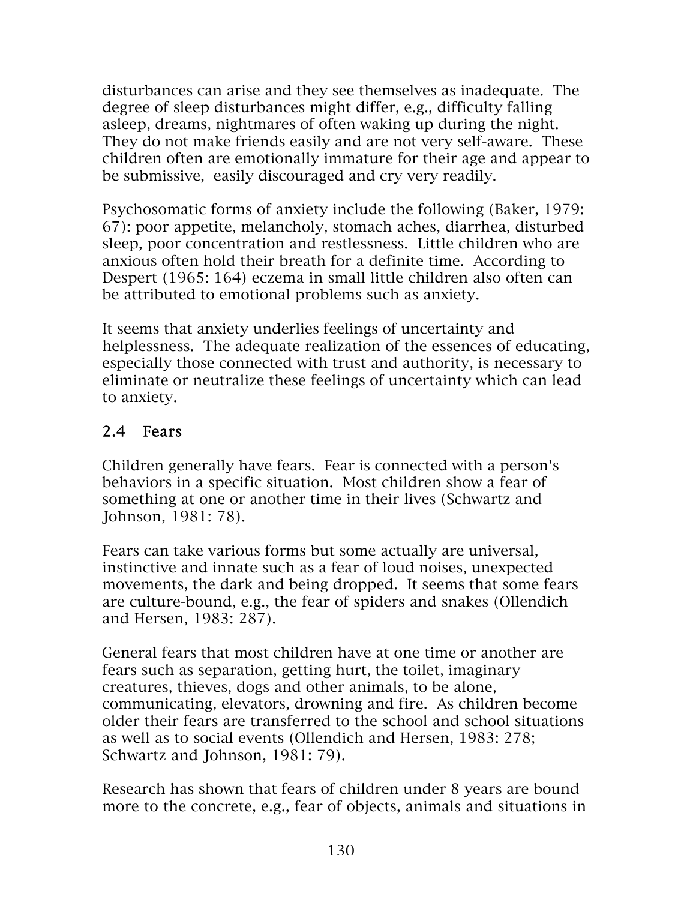disturbances can arise and they see themselves as inadequate. The degree of sleep disturbances might differ, e.g., difficulty falling asleep, dreams, nightmares of often waking up during the night. They do not make friends easily and are not very self-aware. These children often are emotionally immature for their age and appear to be submissive, easily discouraged and cry very readily.

Psychosomatic forms of anxiety include the following (Baker, 1979: 67): poor appetite, melancholy, stomach aches, diarrhea, disturbed sleep, poor concentration and restlessness. Little children who are anxious often hold their breath for a definite time. According to Despert (1965: 164) eczema in small little children also often can be attributed to emotional problems such as anxiety.

It seems that anxiety underlies feelings of uncertainty and helplessness. The adequate realization of the essences of educating, especially those connected with trust and authority, is necessary to eliminate or neutralize these feelings of uncertainty which can lead to anxiety.

#### 2.4 Fears

Children generally have fears. Fear is connected with a person's behaviors in a specific situation. Most children show a fear of something at one or another time in their lives (Schwartz and Johnson, 1981: 78).

Fears can take various forms but some actually are universal, instinctive and innate such as a fear of loud noises, unexpected movements, the dark and being dropped. It seems that some fears are culture-bound, e.g., the fear of spiders and snakes (Ollendich and Hersen, 1983: 287).

General fears that most children have at one time or another are fears such as separation, getting hurt, the toilet, imaginary creatures, thieves, dogs and other animals, to be alone, communicating, elevators, drowning and fire. As children become older their fears are transferred to the school and school situations as well as to social events (Ollendich and Hersen, 1983: 278; Schwartz and Johnson, 1981: 79).

Research has shown that fears of children under 8 years are bound more to the concrete, e.g., fear of objects, animals and situations in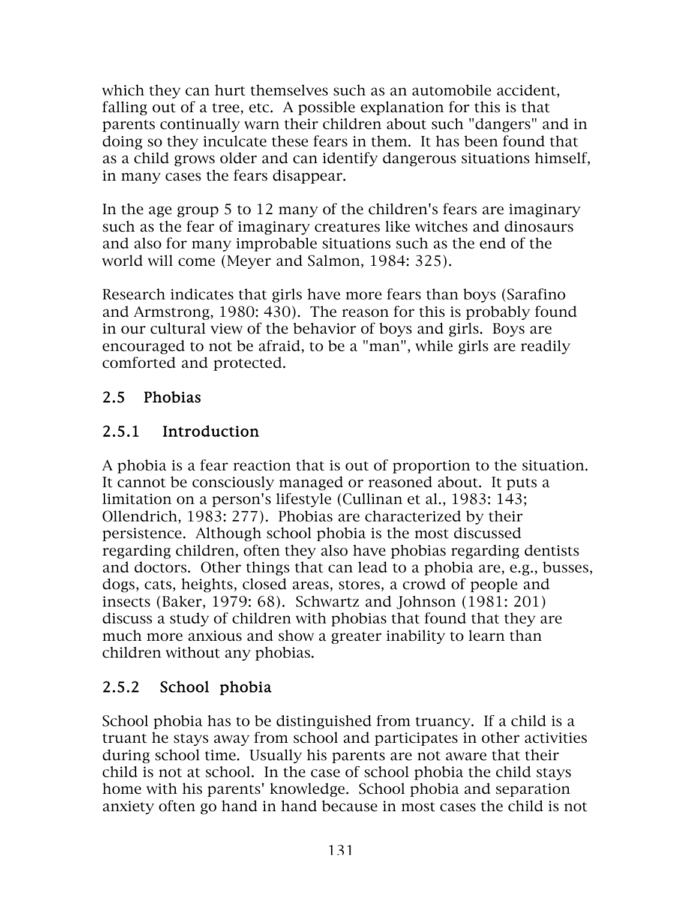which they can hurt themselves such as an automobile accident, falling out of a tree, etc. A possible explanation for this is that parents continually warn their children about such "dangers" and in doing so they inculcate these fears in them. It has been found that as a child grows older and can identify dangerous situations himself, in many cases the fears disappear.

In the age group 5 to 12 many of the children's fears are imaginary such as the fear of imaginary creatures like witches and dinosaurs and also for many improbable situations such as the end of the world will come (Meyer and Salmon, 1984: 325).

Research indicates that girls have more fears than boys (Sarafino and Armstrong, 1980: 430). The reason for this is probably found in our cultural view of the behavior of boys and girls. Boys are encouraged to not be afraid, to be a "man", while girls are readily comforted and protected.

# 2.5 Phobias

# 2.5.1 Introduction

A phobia is a fear reaction that is out of proportion to the situation. It cannot be consciously managed or reasoned about. It puts a limitation on a person's lifestyle (Cullinan et al., 1983: 143; Ollendrich, 1983: 277). Phobias are characterized by their persistence. Although school phobia is the most discussed regarding children, often they also have phobias regarding dentists and doctors. Other things that can lead to a phobia are, e.g., busses, dogs, cats, heights, closed areas, stores, a crowd of people and insects (Baker, 1979: 68). Schwartz and Johnson (1981: 201) discuss a study of children with phobias that found that they are much more anxious and show a greater inability to learn than children without any phobias.

# 2.5.2 School phobia

School phobia has to be distinguished from truancy. If a child is a truant he stays away from school and participates in other activities during school time. Usually his parents are not aware that their child is not at school. In the case of school phobia the child stays home with his parents' knowledge. School phobia and separation anxiety often go hand in hand because in most cases the child is not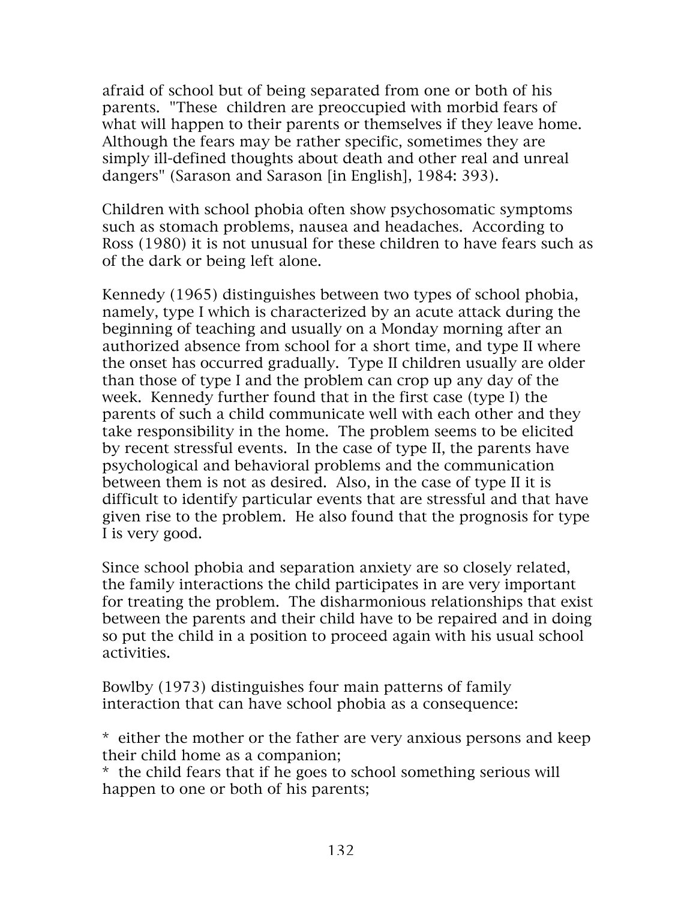afraid of school but of being separated from one or both of his parents. "These children are preoccupied with morbid fears of what will happen to their parents or themselves if they leave home. Although the fears may be rather specific, sometimes they are simply ill-defined thoughts about death and other real and unreal dangers" (Sarason and Sarason [in English], 1984: 393).

Children with school phobia often show psychosomatic symptoms such as stomach problems, nausea and headaches. According to Ross (1980) it is not unusual for these children to have fears such as of the dark or being left alone.

Kennedy (1965) distinguishes between two types of school phobia, namely, type I which is characterized by an acute attack during the beginning of teaching and usually on a Monday morning after an authorized absence from school for a short time, and type II where the onset has occurred gradually. Type II children usually are older than those of type I and the problem can crop up any day of the week. Kennedy further found that in the first case (type I) the parents of such a child communicate well with each other and they take responsibility in the home. The problem seems to be elicited by recent stressful events. In the case of type II, the parents have psychological and behavioral problems and the communication between them is not as desired. Also, in the case of type II it is difficult to identify particular events that are stressful and that have given rise to the problem. He also found that the prognosis for type I is very good.

Since school phobia and separation anxiety are so closely related, the family interactions the child participates in are very important for treating the problem. The disharmonious relationships that exist between the parents and their child have to be repaired and in doing so put the child in a position to proceed again with his usual school activities.

Bowlby (1973) distinguishes four main patterns of family interaction that can have school phobia as a consequence:

\* either the mother or the father are very anxious persons and keep their child home as a companion;

\* the child fears that if he goes to school something serious will happen to one or both of his parents;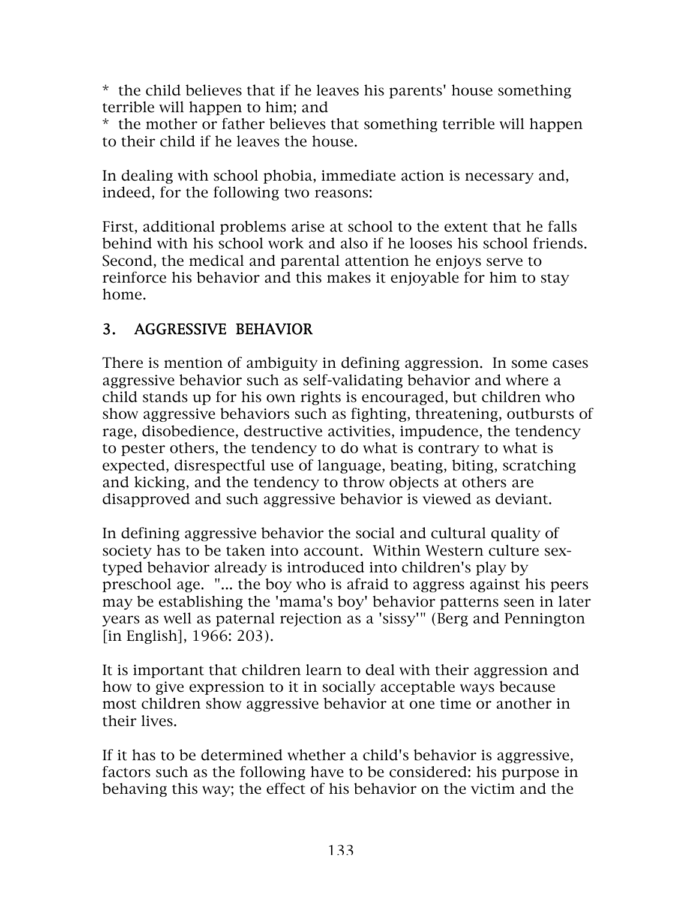\* the child believes that if he leaves his parents' house something terrible will happen to him; and

\* the mother or father believes that something terrible will happen to their child if he leaves the house.

In dealing with school phobia, immediate action is necessary and, indeed, for the following two reasons:

First, additional problems arise at school to the extent that he falls behind with his school work and also if he looses his school friends. Second, the medical and parental attention he enjoys serve to reinforce his behavior and this makes it enjoyable for him to stay home.

### 3. AGGRESSIVE BEHAVIOR

There is mention of ambiguity in defining aggression. In some cases aggressive behavior such as self-validating behavior and where a child stands up for his own rights is encouraged, but children who show aggressive behaviors such as fighting, threatening, outbursts of rage, disobedience, destructive activities, impudence, the tendency to pester others, the tendency to do what is contrary to what is expected, disrespectful use of language, beating, biting, scratching and kicking, and the tendency to throw objects at others are disapproved and such aggressive behavior is viewed as deviant.

In defining aggressive behavior the social and cultural quality of society has to be taken into account. Within Western culture sextyped behavior already is introduced into children's play by preschool age. "... the boy who is afraid to aggress against his peers may be establishing the 'mama's boy' behavior patterns seen in later years as well as paternal rejection as a 'sissy'" (Berg and Pennington [in English], 1966: 203).

It is important that children learn to deal with their aggression and how to give expression to it in socially acceptable ways because most children show aggressive behavior at one time or another in their lives.

If it has to be determined whether a child's behavior is aggressive, factors such as the following have to be considered: his purpose in behaving this way; the effect of his behavior on the victim and the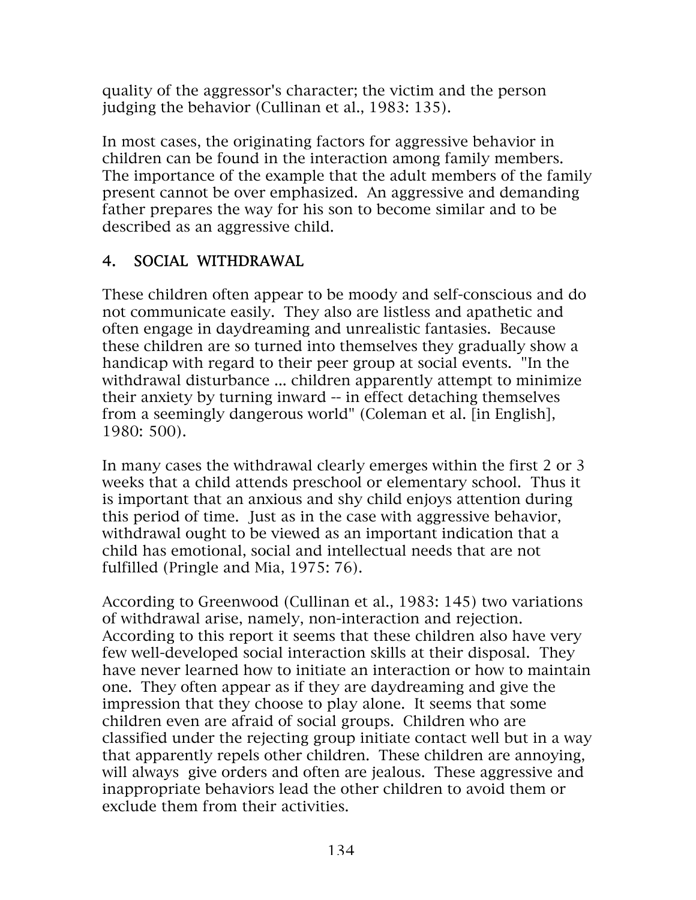quality of the aggressor's character; the victim and the person judging the behavior (Cullinan et al., 1983: 135).

In most cases, the originating factors for aggressive behavior in children can be found in the interaction among family members. The importance of the example that the adult members of the family present cannot be over emphasized. An aggressive and demanding father prepares the way for his son to become similar and to be described as an aggressive child.

### 4. SOCIAL WITHDRAWAL

These children often appear to be moody and self-conscious and do not communicate easily. They also are listless and apathetic and often engage in daydreaming and unrealistic fantasies. Because these children are so turned into themselves they gradually show a handicap with regard to their peer group at social events. "In the withdrawal disturbance ... children apparently attempt to minimize their anxiety by turning inward -- in effect detaching themselves from a seemingly dangerous world" (Coleman et al. [in English], 1980: 500).

In many cases the withdrawal clearly emerges within the first 2 or 3 weeks that a child attends preschool or elementary school. Thus it is important that an anxious and shy child enjoys attention during this period of time. Just as in the case with aggressive behavior, withdrawal ought to be viewed as an important indication that a child has emotional, social and intellectual needs that are not fulfilled (Pringle and Mia, 1975: 76).

According to Greenwood (Cullinan et al., 1983: 145) two variations of withdrawal arise, namely, non-interaction and rejection. According to this report it seems that these children also have very few well-developed social interaction skills at their disposal. They have never learned how to initiate an interaction or how to maintain one. They often appear as if they are daydreaming and give the impression that they choose to play alone. It seems that some children even are afraid of social groups. Children who are classified under the rejecting group initiate contact well but in a way that apparently repels other children. These children are annoying, will always give orders and often are jealous. These aggressive and inappropriate behaviors lead the other children to avoid them or exclude them from their activities.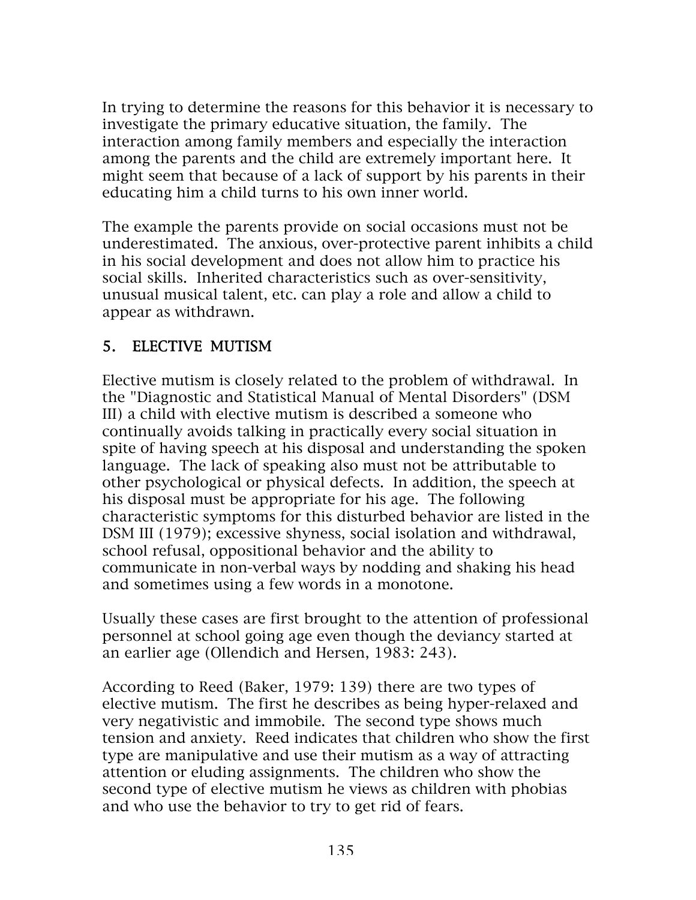In trying to determine the reasons for this behavior it is necessary to investigate the primary educative situation, the family. The interaction among family members and especially the interaction among the parents and the child are extremely important here. It might seem that because of a lack of support by his parents in their educating him a child turns to his own inner world.

The example the parents provide on social occasions must not be underestimated. The anxious, over-protective parent inhibits a child in his social development and does not allow him to practice his social skills. Inherited characteristics such as over-sensitivity, unusual musical talent, etc. can play a role and allow a child to appear as withdrawn.

### 5. ELECTIVE MUTISM

Elective mutism is closely related to the problem of withdrawal. In the "Diagnostic and Statistical Manual of Mental Disorders" (DSM III) a child with elective mutism is described a someone who continually avoids talking in practically every social situation in spite of having speech at his disposal and understanding the spoken language. The lack of speaking also must not be attributable to other psychological or physical defects. In addition, the speech at his disposal must be appropriate for his age. The following characteristic symptoms for this disturbed behavior are listed in the DSM III (1979); excessive shyness, social isolation and withdrawal, school refusal, oppositional behavior and the ability to communicate in non-verbal ways by nodding and shaking his head and sometimes using a few words in a monotone.

Usually these cases are first brought to the attention of professional personnel at school going age even though the deviancy started at an earlier age (Ollendich and Hersen, 1983: 243).

According to Reed (Baker, 1979: 139) there are two types of elective mutism. The first he describes as being hyper-relaxed and very negativistic and immobile. The second type shows much tension and anxiety. Reed indicates that children who show the first type are manipulative and use their mutism as a way of attracting attention or eluding assignments. The children who show the second type of elective mutism he views as children with phobias and who use the behavior to try to get rid of fears.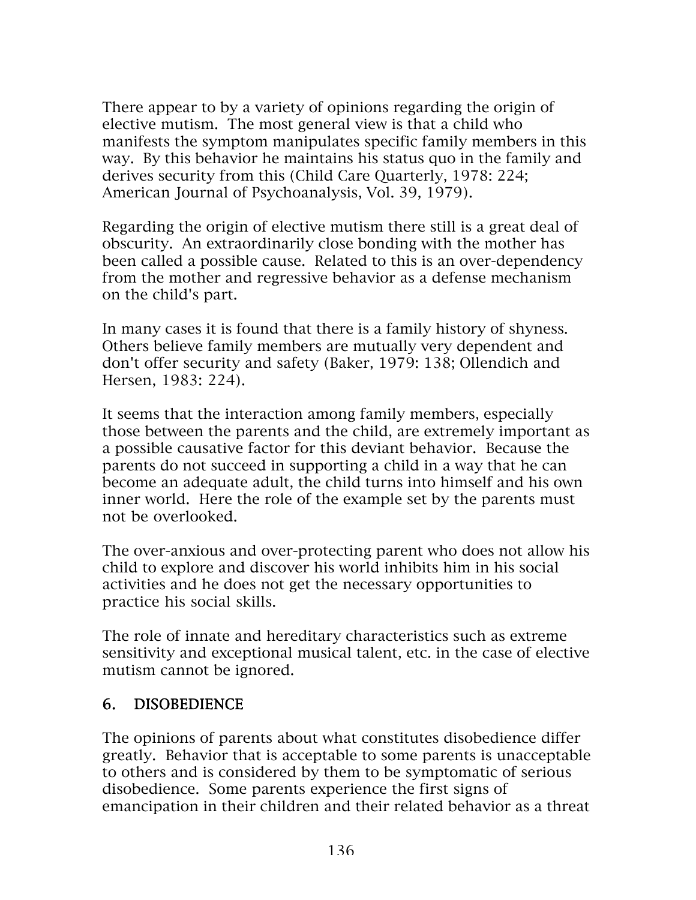There appear to by a variety of opinions regarding the origin of elective mutism. The most general view is that a child who manifests the symptom manipulates specific family members in this way. By this behavior he maintains his status quo in the family and derives security from this (Child Care Quarterly, 1978: 224; American Journal of Psychoanalysis, Vol. 39, 1979).

Regarding the origin of elective mutism there still is a great deal of obscurity. An extraordinarily close bonding with the mother has been called a possible cause. Related to this is an over-dependency from the mother and regressive behavior as a defense mechanism on the child's part.

In many cases it is found that there is a family history of shyness. Others believe family members are mutually very dependent and don't offer security and safety (Baker, 1979: 138; Ollendich and Hersen, 1983: 224).

It seems that the interaction among family members, especially those between the parents and the child, are extremely important as a possible causative factor for this deviant behavior. Because the parents do not succeed in supporting a child in a way that he can become an adequate adult, the child turns into himself and his own inner world. Here the role of the example set by the parents must not be overlooked.

The over-anxious and over-protecting parent who does not allow his child to explore and discover his world inhibits him in his social activities and he does not get the necessary opportunities to practice his social skills.

The role of innate and hereditary characteristics such as extreme sensitivity and exceptional musical talent, etc. in the case of elective mutism cannot be ignored.

#### 6. DISOBEDIENCE

The opinions of parents about what constitutes disobedience differ greatly. Behavior that is acceptable to some parents is unacceptable to others and is considered by them to be symptomatic of serious disobedience. Some parents experience the first signs of emancipation in their children and their related behavior as a threat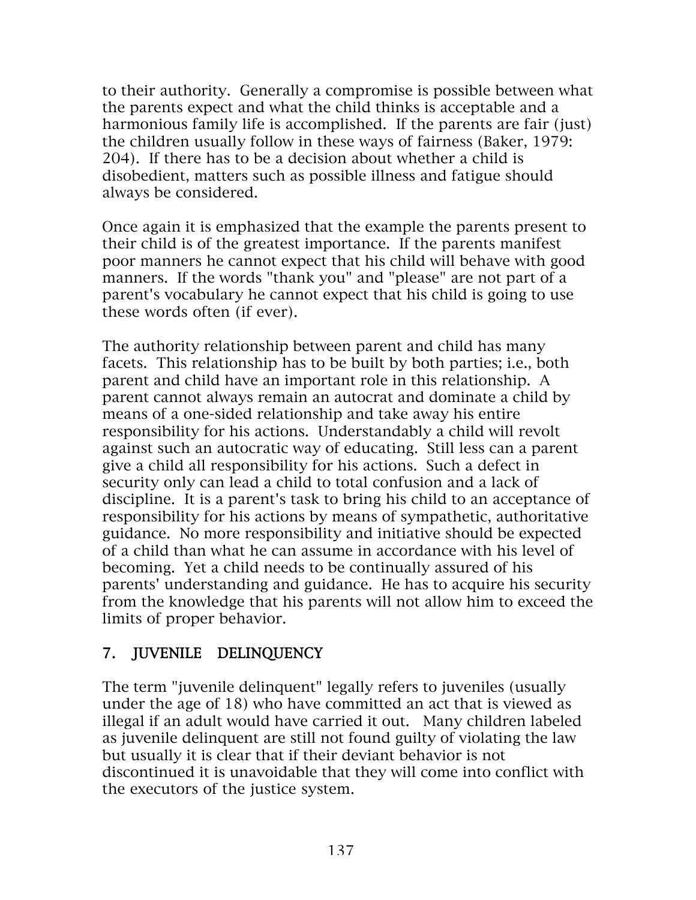to their authority. Generally a compromise is possible between what the parents expect and what the child thinks is acceptable and a harmonious family life is accomplished. If the parents are fair (just) the children usually follow in these ways of fairness (Baker, 1979: 204). If there has to be a decision about whether a child is disobedient, matters such as possible illness and fatigue should always be considered.

Once again it is emphasized that the example the parents present to their child is of the greatest importance. If the parents manifest poor manners he cannot expect that his child will behave with good manners. If the words "thank you" and "please" are not part of a parent's vocabulary he cannot expect that his child is going to use these words often (if ever).

The authority relationship between parent and child has many facets. This relationship has to be built by both parties; i.e., both parent and child have an important role in this relationship. A parent cannot always remain an autocrat and dominate a child by means of a one-sided relationship and take away his entire responsibility for his actions. Understandably a child will revolt against such an autocratic way of educating. Still less can a parent give a child all responsibility for his actions. Such a defect in security only can lead a child to total confusion and a lack of discipline. It is a parent's task to bring his child to an acceptance of responsibility for his actions by means of sympathetic, authoritative guidance. No more responsibility and initiative should be expected of a child than what he can assume in accordance with his level of becoming. Yet a child needs to be continually assured of his parents' understanding and guidance. He has to acquire his security from the knowledge that his parents will not allow him to exceed the limits of proper behavior.

### 7. JUVENILE DELINQUENCY

The term "juvenile delinquent" legally refers to juveniles (usually under the age of 18) who have committed an act that is viewed as illegal if an adult would have carried it out. Many children labeled as juvenile delinquent are still not found guilty of violating the law but usually it is clear that if their deviant behavior is not discontinued it is unavoidable that they will come into conflict with the executors of the justice system.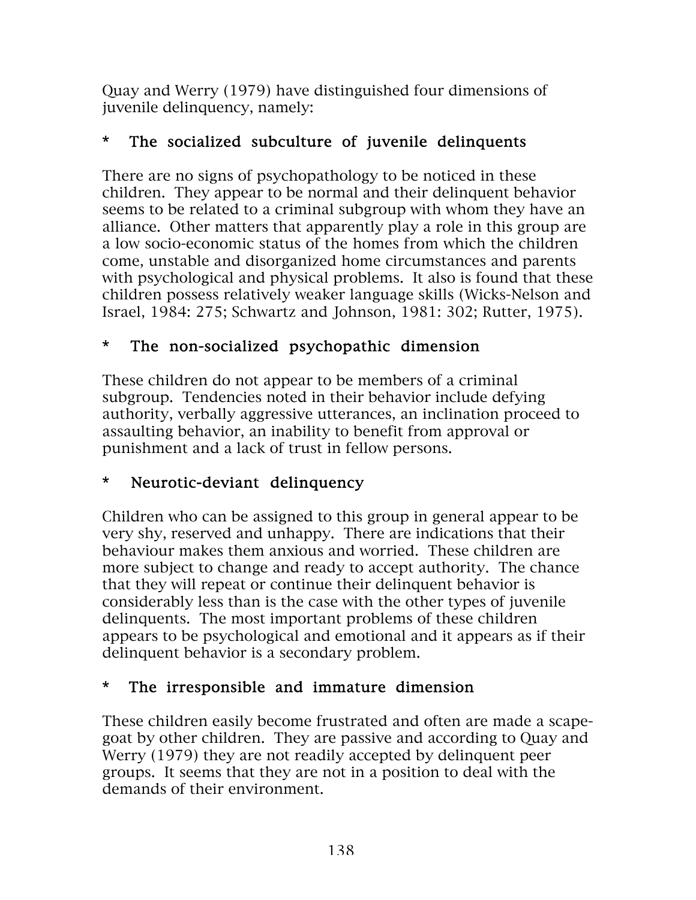Quay and Werry (1979) have distinguished four dimensions of juvenile delinquency, namely:

### \* The socialized subculture of juvenile delinquents

There are no signs of psychopathology to be noticed in these children. They appear to be normal and their delinquent behavior seems to be related to a criminal subgroup with whom they have an alliance. Other matters that apparently play a role in this group are a low socio-economic status of the homes from which the children come, unstable and disorganized home circumstances and parents with psychological and physical problems. It also is found that these children possess relatively weaker language skills (Wicks-Nelson and Israel, 1984: 275; Schwartz and Johnson, 1981: 302; Rutter, 1975).

### \* The non-socialized psychopathic dimension

These children do not appear to be members of a criminal subgroup. Tendencies noted in their behavior include defying authority, verbally aggressive utterances, an inclination proceed to assaulting behavior, an inability to benefit from approval or punishment and a lack of trust in fellow persons.

### \* Neurotic-deviant delinquency

Children who can be assigned to this group in general appear to be very shy, reserved and unhappy. There are indications that their behaviour makes them anxious and worried. These children are more subject to change and ready to accept authority. The chance that they will repeat or continue their delinquent behavior is considerably less than is the case with the other types of juvenile delinquents. The most important problems of these children appears to be psychological and emotional and it appears as if their delinquent behavior is a secondary problem.

### \* The irresponsible and immature dimension

These children easily become frustrated and often are made a scapegoat by other children. They are passive and according to Quay and Werry (1979) they are not readily accepted by delinquent peer groups. It seems that they are not in a position to deal with the demands of their environment.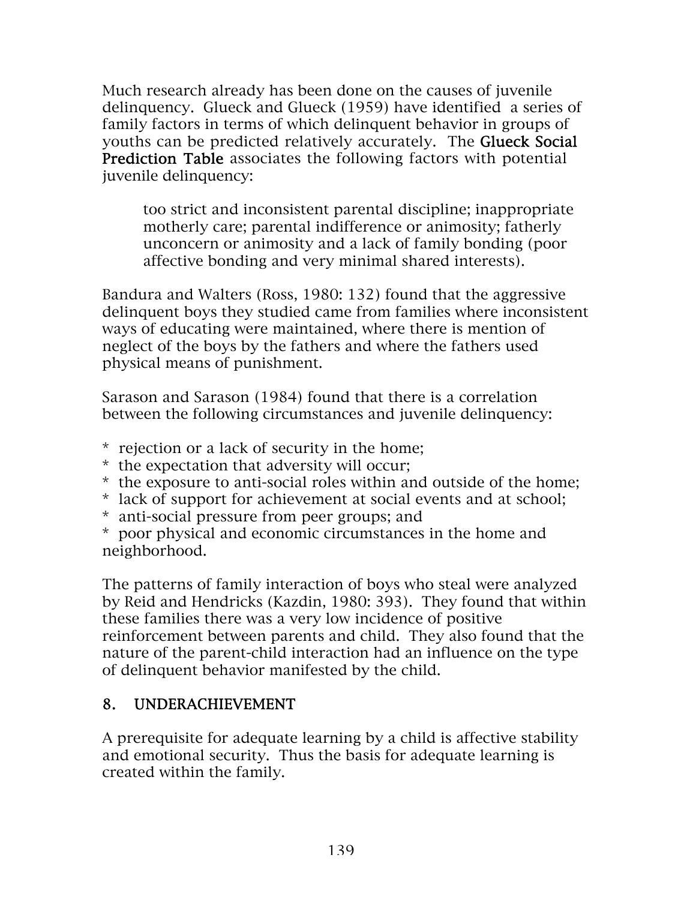Much research already has been done on the causes of juvenile delinquency. Glueck and Glueck (1959) have identified a series of family factors in terms of which delinquent behavior in groups of youths can be predicted relatively accurately. The Glueck Social Prediction Table associates the following factors with potential juvenile delinquency:

too strict and inconsistent parental discipline; inappropriate motherly care; parental indifference or animosity; fatherly unconcern or animosity and a lack of family bonding (poor affective bonding and very minimal shared interests).

Bandura and Walters (Ross, 1980: 132) found that the aggressive delinquent boys they studied came from families where inconsistent ways of educating were maintained, where there is mention of neglect of the boys by the fathers and where the fathers used physical means of punishment.

Sarason and Sarason (1984) found that there is a correlation between the following circumstances and juvenile delinquency:

- \* rejection or a lack of security in the home;
- \* the expectation that adversity will occur;
- \* the exposure to anti-social roles within and outside of the home;
- \* lack of support for achievement at social events and at school;
- \* anti-social pressure from peer groups; and

\* poor physical and economic circumstances in the home and neighborhood.

The patterns of family interaction of boys who steal were analyzed by Reid and Hendricks (Kazdin, 1980: 393). They found that within these families there was a very low incidence of positive reinforcement between parents and child. They also found that the nature of the parent-child interaction had an influence on the type of delinquent behavior manifested by the child.

### 8. UNDERACHIEVEMENT

A prerequisite for adequate learning by a child is affective stability and emotional security. Thus the basis for adequate learning is created within the family.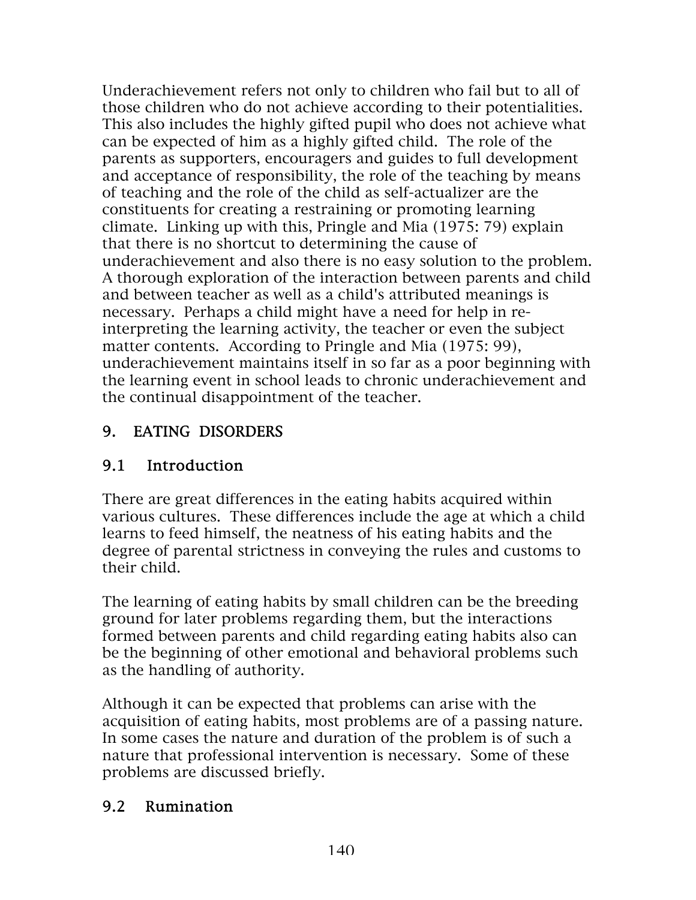Underachievement refers not only to children who fail but to all of those children who do not achieve according to their potentialities. This also includes the highly gifted pupil who does not achieve what can be expected of him as a highly gifted child. The role of the parents as supporters, encouragers and guides to full development and acceptance of responsibility, the role of the teaching by means of teaching and the role of the child as self-actualizer are the constituents for creating a restraining or promoting learning climate. Linking up with this, Pringle and Mia (1975: 79) explain that there is no shortcut to determining the cause of underachievement and also there is no easy solution to the problem. A thorough exploration of the interaction between parents and child and between teacher as well as a child's attributed meanings is necessary. Perhaps a child might have a need for help in reinterpreting the learning activity, the teacher or even the subject matter contents. According to Pringle and Mia (1975: 99), underachievement maintains itself in so far as a poor beginning with the learning event in school leads to chronic underachievement and the continual disappointment of the teacher.

### 9. EATING DISORDERS

### 9.1 Introduction

There are great differences in the eating habits acquired within various cultures. These differences include the age at which a child learns to feed himself, the neatness of his eating habits and the degree of parental strictness in conveying the rules and customs to their child.

The learning of eating habits by small children can be the breeding ground for later problems regarding them, but the interactions formed between parents and child regarding eating habits also can be the beginning of other emotional and behavioral problems such as the handling of authority.

Although it can be expected that problems can arise with the acquisition of eating habits, most problems are of a passing nature. In some cases the nature and duration of the problem is of such a nature that professional intervention is necessary. Some of these problems are discussed briefly.

#### 9.2 Rumination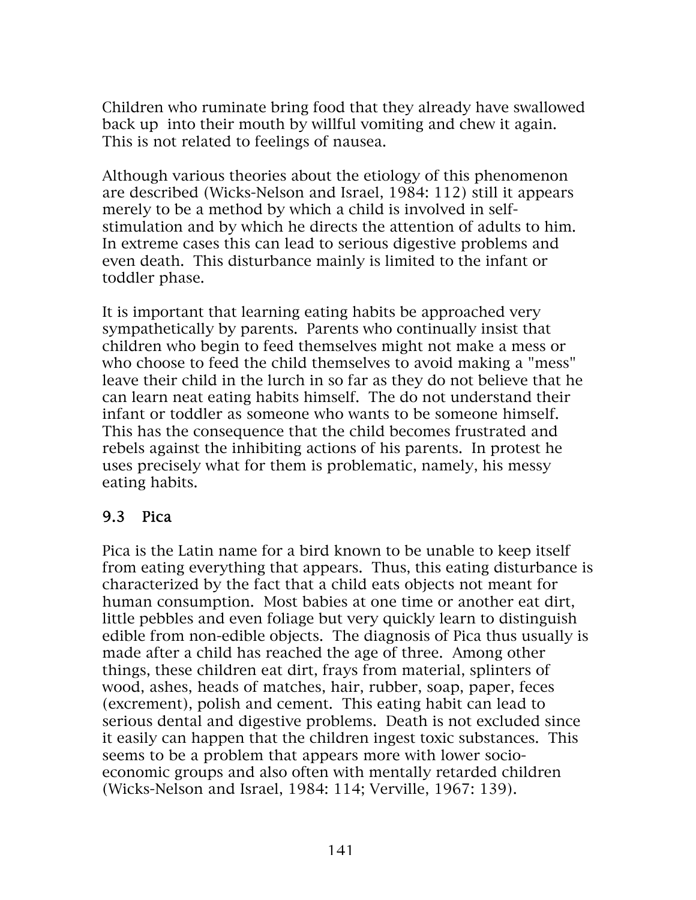Children who ruminate bring food that they already have swallowed back up into their mouth by willful vomiting and chew it again. This is not related to feelings of nausea.

Although various theories about the etiology of this phenomenon are described (Wicks-Nelson and Israel, 1984: 112) still it appears merely to be a method by which a child is involved in selfstimulation and by which he directs the attention of adults to him. In extreme cases this can lead to serious digestive problems and even death. This disturbance mainly is limited to the infant or toddler phase.

It is important that learning eating habits be approached very sympathetically by parents. Parents who continually insist that children who begin to feed themselves might not make a mess or who choose to feed the child themselves to avoid making a "mess" leave their child in the lurch in so far as they do not believe that he can learn neat eating habits himself. The do not understand their infant or toddler as someone who wants to be someone himself. This has the consequence that the child becomes frustrated and rebels against the inhibiting actions of his parents. In protest he uses precisely what for them is problematic, namely, his messy eating habits.

#### 9.3 Pica

Pica is the Latin name for a bird known to be unable to keep itself from eating everything that appears. Thus, this eating disturbance is characterized by the fact that a child eats objects not meant for human consumption. Most babies at one time or another eat dirt, little pebbles and even foliage but very quickly learn to distinguish edible from non-edible objects. The diagnosis of Pica thus usually is made after a child has reached the age of three. Among other things, these children eat dirt, frays from material, splinters of wood, ashes, heads of matches, hair, rubber, soap, paper, feces (excrement), polish and cement. This eating habit can lead to serious dental and digestive problems. Death is not excluded since it easily can happen that the children ingest toxic substances. This seems to be a problem that appears more with lower socioeconomic groups and also often with mentally retarded children (Wicks-Nelson and Israel, 1984: 114; Verville, 1967: 139).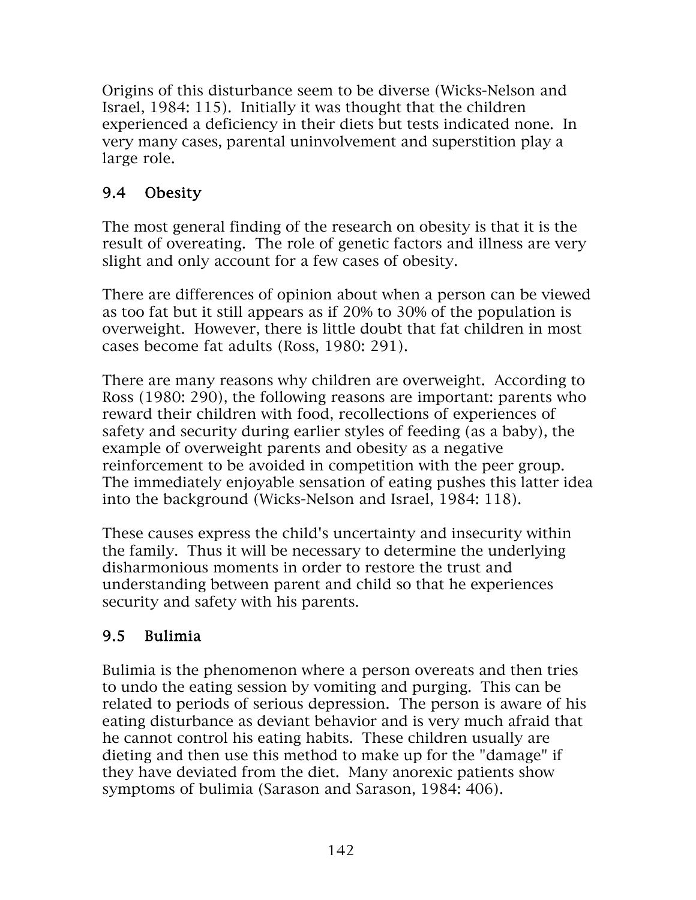Origins of this disturbance seem to be diverse (Wicks-Nelson and Israel, 1984: 115). Initially it was thought that the children experienced a deficiency in their diets but tests indicated none. In very many cases, parental uninvolvement and superstition play a large role.

# 9.4 Obesity

The most general finding of the research on obesity is that it is the result of overeating. The role of genetic factors and illness are very slight and only account for a few cases of obesity.

There are differences of opinion about when a person can be viewed as too fat but it still appears as if 20% to 30% of the population is overweight. However, there is little doubt that fat children in most cases become fat adults (Ross, 1980: 291).

There are many reasons why children are overweight. According to Ross (1980: 290), the following reasons are important: parents who reward their children with food, recollections of experiences of safety and security during earlier styles of feeding (as a baby), the example of overweight parents and obesity as a negative reinforcement to be avoided in competition with the peer group. The immediately enjoyable sensation of eating pushes this latter idea into the background (Wicks-Nelson and Israel, 1984: 118).

These causes express the child's uncertainty and insecurity within the family. Thus it will be necessary to determine the underlying disharmonious moments in order to restore the trust and understanding between parent and child so that he experiences security and safety with his parents.

# 9.5 Bulimia

Bulimia is the phenomenon where a person overeats and then tries to undo the eating session by vomiting and purging. This can be related to periods of serious depression. The person is aware of his eating disturbance as deviant behavior and is very much afraid that he cannot control his eating habits. These children usually are dieting and then use this method to make up for the "damage" if they have deviated from the diet. Many anorexic patients show symptoms of bulimia (Sarason and Sarason, 1984: 406).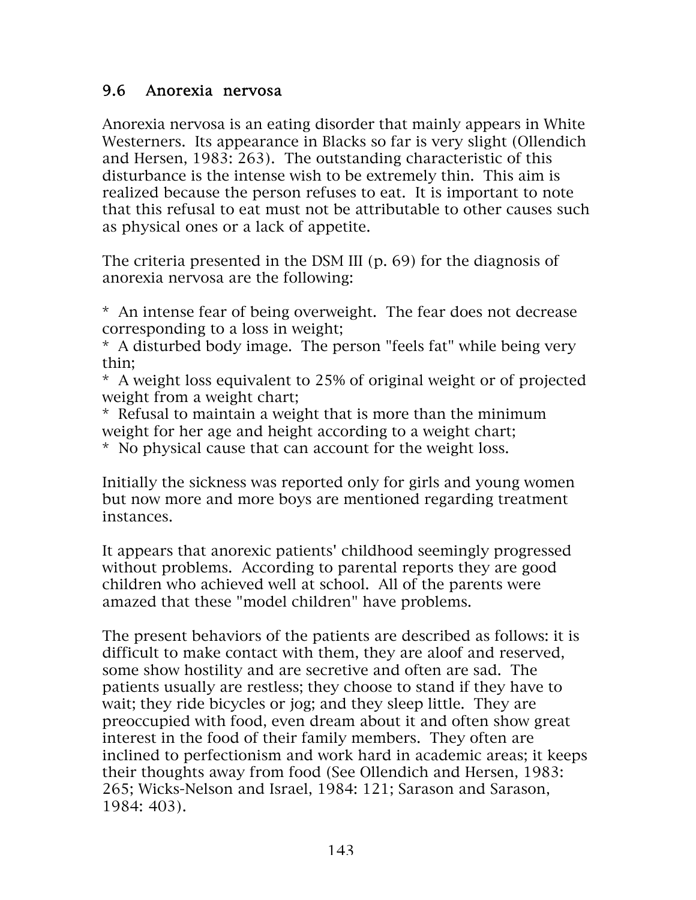#### 9.6 Anorexia nervosa

Anorexia nervosa is an eating disorder that mainly appears in White Westerners. Its appearance in Blacks so far is very slight (Ollendich and Hersen, 1983: 263). The outstanding characteristic of this disturbance is the intense wish to be extremely thin. This aim is realized because the person refuses to eat. It is important to note that this refusal to eat must not be attributable to other causes such as physical ones or a lack of appetite.

The criteria presented in the DSM III (p. 69) for the diagnosis of anorexia nervosa are the following:

\* An intense fear of being overweight. The fear does not decrease corresponding to a loss in weight;

\* A disturbed body image. The person "feels fat" while being very thin;

\* A weight loss equivalent to 25% of original weight or of projected weight from a weight chart;

\* Refusal to maintain a weight that is more than the minimum weight for her age and height according to a weight chart;

\* No physical cause that can account for the weight loss.

Initially the sickness was reported only for girls and young women but now more and more boys are mentioned regarding treatment instances.

It appears that anorexic patients' childhood seemingly progressed without problems. According to parental reports they are good children who achieved well at school. All of the parents were amazed that these "model children" have problems.

The present behaviors of the patients are described as follows: it is difficult to make contact with them, they are aloof and reserved, some show hostility and are secretive and often are sad. The patients usually are restless; they choose to stand if they have to wait; they ride bicycles or jog; and they sleep little. They are preoccupied with food, even dream about it and often show great interest in the food of their family members. They often are inclined to perfectionism and work hard in academic areas; it keeps their thoughts away from food (See Ollendich and Hersen, 1983: 265; Wicks-Nelson and Israel, 1984: 121; Sarason and Sarason, 1984: 403).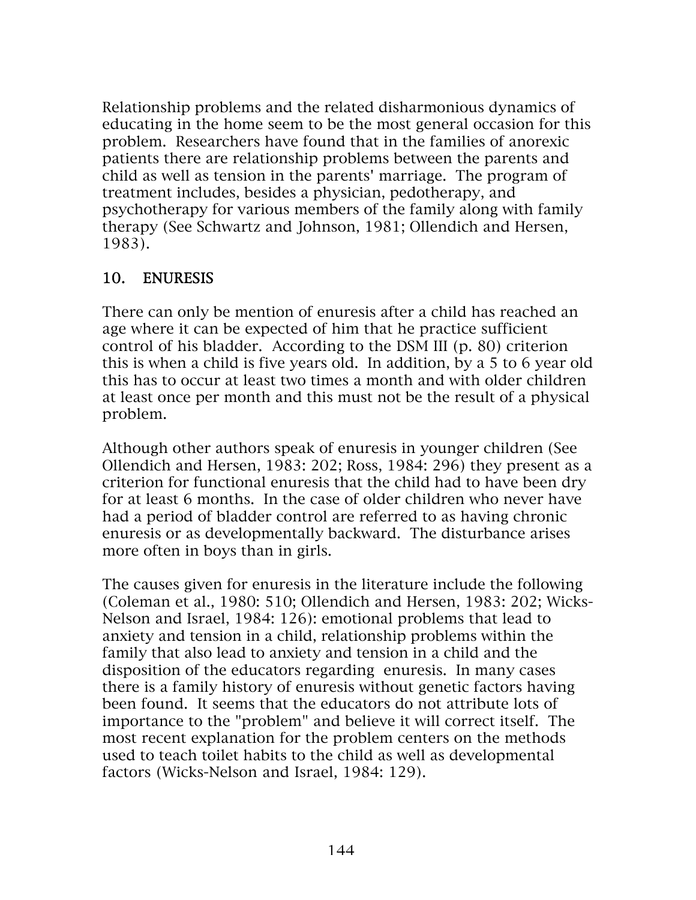Relationship problems and the related disharmonious dynamics of educating in the home seem to be the most general occasion for this problem. Researchers have found that in the families of anorexic patients there are relationship problems between the parents and child as well as tension in the parents' marriage. The program of treatment includes, besides a physician, pedotherapy, and psychotherapy for various members of the family along with family therapy (See Schwartz and Johnson, 1981; Ollendich and Hersen, 1983).

#### 10. ENURESIS

There can only be mention of enuresis after a child has reached an age where it can be expected of him that he practice sufficient control of his bladder. According to the DSM III (p. 80) criterion this is when a child is five years old. In addition, by a 5 to 6 year old this has to occur at least two times a month and with older children at least once per month and this must not be the result of a physical problem.

Although other authors speak of enuresis in younger children (See Ollendich and Hersen, 1983: 202; Ross, 1984: 296) they present as a criterion for functional enuresis that the child had to have been dry for at least 6 months. In the case of older children who never have had a period of bladder control are referred to as having chronic enuresis or as developmentally backward. The disturbance arises more often in boys than in girls.

The causes given for enuresis in the literature include the following (Coleman et al., 1980: 510; Ollendich and Hersen, 1983: 202; Wicks-Nelson and Israel, 1984: 126): emotional problems that lead to anxiety and tension in a child, relationship problems within the family that also lead to anxiety and tension in a child and the disposition of the educators regarding enuresis. In many cases there is a family history of enuresis without genetic factors having been found. It seems that the educators do not attribute lots of importance to the "problem" and believe it will correct itself. The most recent explanation for the problem centers on the methods used to teach toilet habits to the child as well as developmental factors (Wicks-Nelson and Israel, 1984: 129).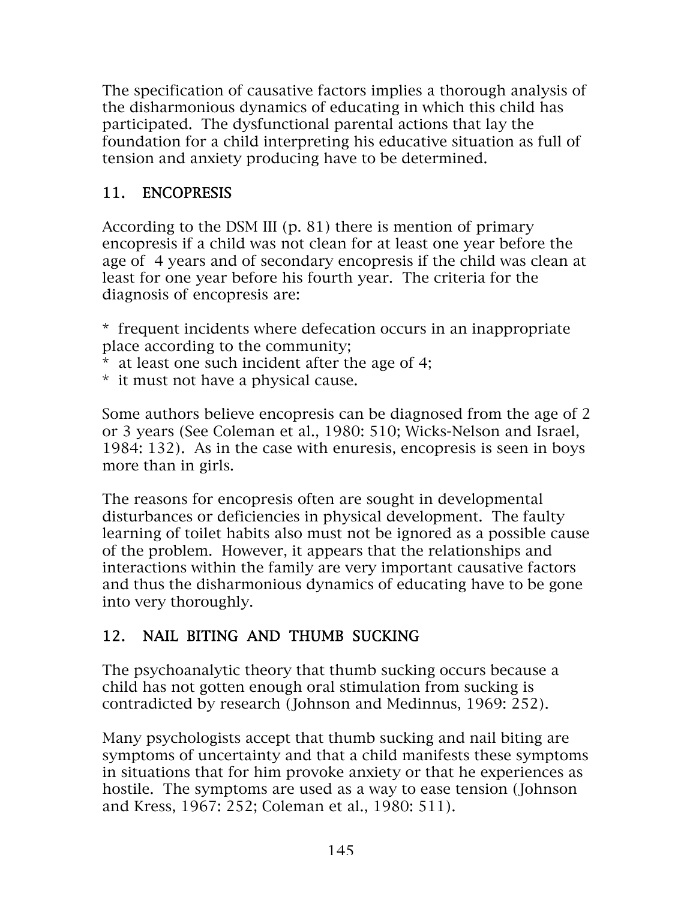The specification of causative factors implies a thorough analysis of the disharmonious dynamics of educating in which this child has participated. The dysfunctional parental actions that lay the foundation for a child interpreting his educative situation as full of tension and anxiety producing have to be determined.

### 11. ENCOPRESIS

According to the DSM III (p. 81) there is mention of primary encopresis if a child was not clean for at least one year before the age of 4 years and of secondary encopresis if the child was clean at least for one year before his fourth year. The criteria for the diagnosis of encopresis are:

- \* frequent incidents where defecation occurs in an inappropriate place according to the community;
- \* at least one such incident after the age of 4;
- \* it must not have a physical cause.

Some authors believe encopresis can be diagnosed from the age of 2 or 3 years (See Coleman et al., 1980: 510; Wicks-Nelson and Israel, 1984: 132). As in the case with enuresis, encopresis is seen in boys more than in girls.

The reasons for encopresis often are sought in developmental disturbances or deficiencies in physical development. The faulty learning of toilet habits also must not be ignored as a possible cause of the problem. However, it appears that the relationships and interactions within the family are very important causative factors and thus the disharmonious dynamics of educating have to be gone into very thoroughly.

# 12. NAIL BITING AND THUMB SUCKING

The psychoanalytic theory that thumb sucking occurs because a child has not gotten enough oral stimulation from sucking is contradicted by research (Johnson and Medinnus, 1969: 252).

Many psychologists accept that thumb sucking and nail biting are symptoms of uncertainty and that a child manifests these symptoms in situations that for him provoke anxiety or that he experiences as hostile. The symptoms are used as a way to ease tension (Johnson and Kress, 1967: 252; Coleman et al., 1980: 511).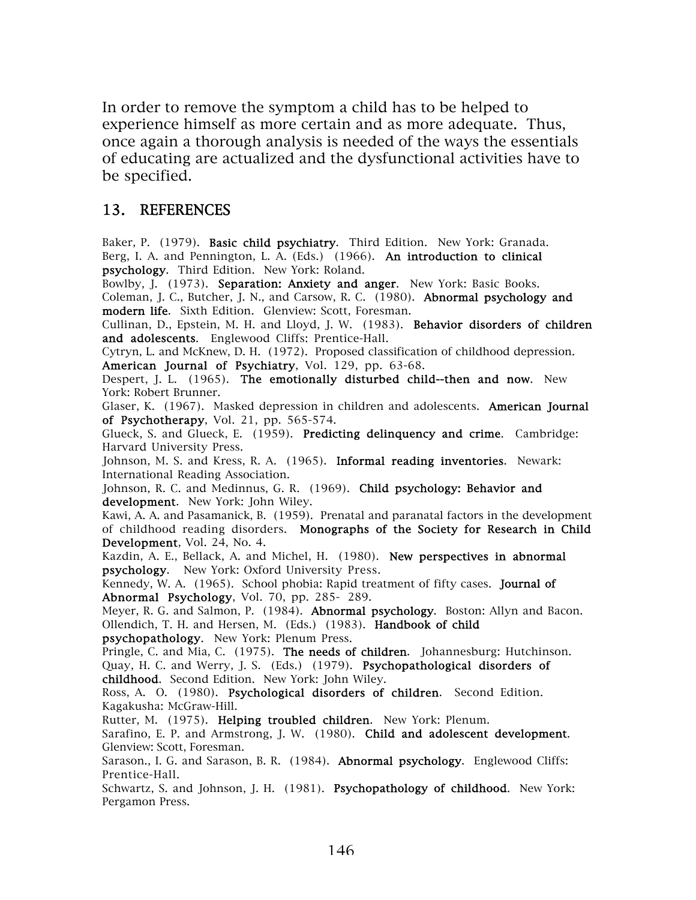In order to remove the symptom a child has to be helped to experience himself as more certain and as more adequate. Thus, once again a thorough analysis is needed of the ways the essentials of educating are actualized and the dysfunctional activities have to be specified.

#### 13. REFERENCES

Baker, P. (1979). Basic child psychiatry. Third Edition. New York: Granada. Berg, I. A. and Pennington, L. A. (Eds.) (1966). An introduction to clinical psychology. Third Edition. New York: Roland.

Bowlby, J. (1973). Separation: Anxiety and anger. New York: Basic Books. Coleman, J. C., Butcher, J. N., and Carsow, R. C. (1980). Abnormal psychology and modern life. Sixth Edition. Glenview: Scott, Foresman.

Cullinan, D., Epstein, M. H. and Lloyd, J. W. (1983). Behavior disorders of children and adolescents. Englewood Cliffs: Prentice-Hall.

Cytryn, L. and McKnew, D. H. (1972). Proposed classification of childhood depression. American Journal of Psychiatry, Vol. 129, pp. 63-68.

Despert, J. L. (1965). The emotionally disturbed child--then and now. New York: Robert Brunner.

Glaser, K. (1967). Masked depression in children and adolescents. American Journal of Psychotherapy, Vol. 21, pp. 565-574.

Glueck, S. and Glueck, E. (1959). Predicting delinquency and crime. Cambridge: Harvard University Press.

Johnson, M. S. and Kress, R. A. (1965). Informal reading inventories. Newark: International Reading Association.

Johnson, R. C. and Medinnus, G. R. (1969). Child psychology: Behavior and development. New York: John Wiley.

Kawi, A. A. and Pasamanick, B. (1959). Prenatal and paranatal factors in the development of childhood reading disorders. Monographs of the Society for Research in Child Development, Vol. 24, No. 4.

Kazdin, A. E., Bellack, A. and Michel, H. (1980). New perspectives in abnormal psychology. New York: Oxford University Press.

Kennedy, W. A. (1965). School phobia: Rapid treatment of fifty cases. Journal of Abnormal Psychology, Vol. 70, pp. 285- 289.

Meyer, R. G. and Salmon, P. (1984). **Abnormal psychology**. Boston: Allyn and Bacon. Ollendich, T. H. and Hersen, M. (Eds.) (1983). Handbook of child

psychopathology. New York: Plenum Press.

Pringle, C. and Mia, C. (1975). The needs of children. Johannesburg: Hutchinson. Quay, H. C. and Werry, J. S. (Eds.) (1979). Psychopathological disorders of childhood. Second Edition. New York: John Wiley.

Ross, A. O. (1980). Psychological disorders of children. Second Edition. Kagakusha: McGraw-Hill.

Rutter, M. (1975). Helping troubled children. New York: Plenum.

Sarafino, E. P. and Armstrong, J. W. (1980). Child and adolescent development. Glenview: Scott, Foresman.

Sarason., I. G. and Sarason, B. R. (1984). Abnormal psychology. Englewood Cliffs: Prentice-Hall.

Schwartz, S. and Johnson, J. H. (1981). Psychopathology of childhood. New York: Pergamon Press.